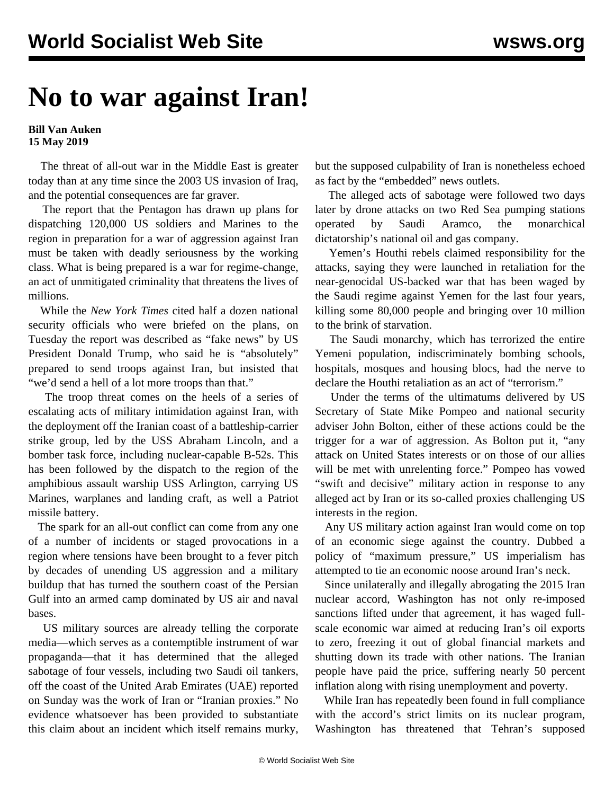## **No to war against Iran!**

## **Bill Van Auken 15 May 2019**

 The threat of all-out war in the Middle East is greater today than at any time since the 2003 US invasion of Iraq, and the potential consequences are far graver.

 The report that the Pentagon has drawn up plans for dispatching 120,000 US soldiers and Marines to the region in preparation for a war of aggression against Iran must be taken with deadly seriousness by the working class. What is being prepared is a war for regime-change, an act of unmitigated criminality that threatens the lives of millions.

 While the *New York Times* cited half a dozen national security officials who were briefed on the plans, on Tuesday the report was described as "fake news" by US President Donald Trump, who said he is "absolutely" prepared to send troops against Iran, but insisted that "we'd send a hell of a lot more troops than that."

 The troop threat comes on the heels of a series of escalating acts of military intimidation against Iran, with the deployment off the Iranian coast of a battleship-carrier strike group, led by the USS Abraham Lincoln, and a bomber task force, including nuclear-capable B-52s. This has been followed by the dispatch to the region of the amphibious assault warship USS Arlington, carrying US Marines, warplanes and landing craft, as well a Patriot missile battery.

 The spark for an all-out conflict can come from any one of a number of incidents or staged provocations in a region where tensions have been brought to a fever pitch by decades of unending US aggression and a military buildup that has turned the southern coast of the Persian Gulf into an armed camp dominated by US air and naval bases.

 US military sources are already telling the corporate media—which serves as a contemptible instrument of war propaganda—that it has determined that the alleged sabotage of four vessels, including two Saudi oil tankers, off the coast of the United Arab Emirates (UAE) reported on Sunday was the work of Iran or "Iranian proxies." No evidence whatsoever has been provided to substantiate this claim about an incident which itself remains murky, but the supposed culpability of Iran is nonetheless echoed as fact by the "embedded" news outlets.

 The alleged acts of sabotage were followed two days later by drone attacks on two Red Sea pumping stations operated by Saudi Aramco, the monarchical dictatorship's national oil and gas company.

 Yemen's Houthi rebels claimed responsibility for the attacks, saying they were launched in retaliation for the near-genocidal US-backed war that has been waged by the Saudi regime against Yemen for the last four years, killing some 80,000 people and bringing over 10 million to the brink of starvation.

 The Saudi monarchy, which has terrorized the entire Yemeni population, indiscriminately bombing schools, hospitals, mosques and housing blocs, had the nerve to declare the Houthi retaliation as an act of "terrorism."

 Under the terms of the ultimatums delivered by US Secretary of State Mike Pompeo and national security adviser John Bolton, either of these actions could be the trigger for a war of aggression. As Bolton put it, "any attack on United States interests or on those of our allies will be met with unrelenting force." Pompeo has vowed "swift and decisive" military action in response to any alleged act by Iran or its so-called proxies challenging US interests in the region.

 Any US military action against Iran would come on top of an economic siege against the country. Dubbed a policy of "maximum pressure," US imperialism has attempted to tie an economic noose around Iran's neck.

 Since unilaterally and illegally abrogating the 2015 Iran nuclear accord, Washington has not only re-imposed sanctions lifted under that agreement, it has waged fullscale economic war aimed at reducing Iran's oil exports to zero, freezing it out of global financial markets and shutting down its trade with other nations. The Iranian people have paid the price, suffering nearly 50 percent inflation along with rising unemployment and poverty.

 While Iran has repeatedly been found in full compliance with the accord's strict limits on its nuclear program, Washington has threatened that Tehran's supposed